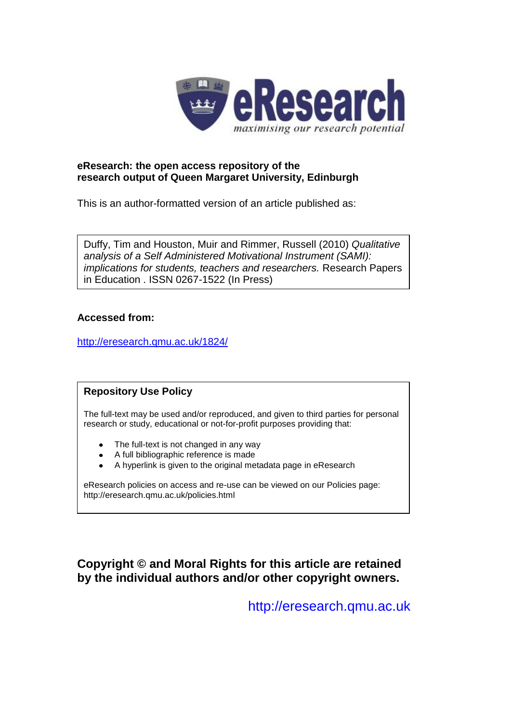

## **eResearch: the open access repository of the research output of Queen Margaret University, Edinburgh**

This is an author-formatted version of an article published as:

Duffy, Tim and Houston, Muir and Rimmer, Russell (2010) *Qualitative analysis of a Self Administered Motivational Instrument (SAMI): implications for students, teachers and researchers.* Research Papers in Education . ISSN 0267-1522 (In Press)

## **Accessed from:**

[http://eresearch.qmu.ac.uk/1824/](http://eresearch.qmu.ac.uk/1807/)

## **Repository Use Policy**

The full-text may be used and/or reproduced, and given to third parties for personal research or study, educational or not-for-profit purposes providing that:

- The full-text is not changed in any way
- A full bibliographic reference is made
- A hyperlink is given to the original metadata page in eResearch

eResearch policies on access and re-use can be viewed on our Policies page: <http://eresearch.qmu.ac.uk/policies.html>

# **Copyright © and Moral Rights for this article are retained by the individual authors and/or other copyright owners.**

[http://eresearch.qmu.ac.uk](http://eresearch.qmu.ac.uk/)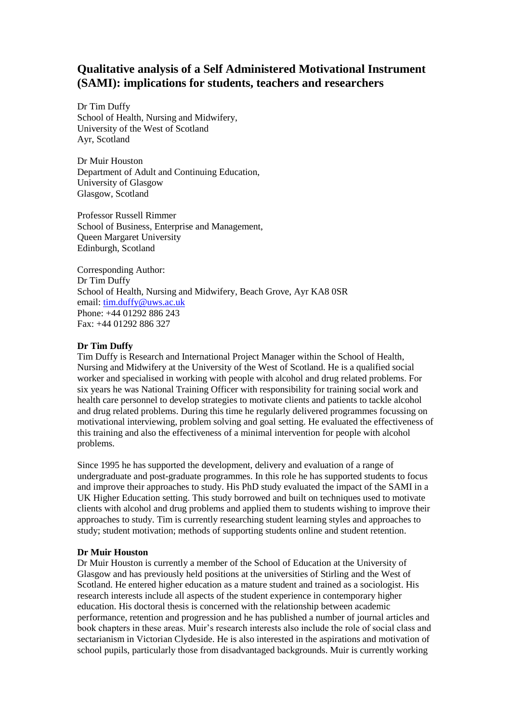# **Qualitative analysis of a Self Administered Motivational Instrument (SAMI): implications for students, teachers and researchers**

Dr Tim Duffy School of Health, Nursing and Midwifery, University of the West of Scotland Ayr, Scotland

Dr Muir Houston Department of Adult and Continuing Education, University of Glasgow Glasgow, Scotland

Professor Russell Rimmer School of Business, Enterprise and Management, Queen Margaret University Edinburgh, Scotland

Corresponding Author: Dr Tim Duffy School of Health, Nursing and Midwifery, Beach Grove, Ayr KA8 0SR email: [tim.duffy@uws.ac.uk](mailto:tim.duffy@uws.ac.uk) Phone: +44 01292 886 243 Fax: +44 01292 886 327

## **Dr Tim Duffy**

Tim Duffy is Research and International Project Manager within the School of Health, Nursing and Midwifery at the University of the West of Scotland. He is a qualified social worker and specialised in working with people with alcohol and drug related problems. For six years he was National Training Officer with responsibility for training social work and health care personnel to develop strategies to motivate clients and patients to tackle alcohol and drug related problems. During this time he regularly delivered programmes focussing on motivational interviewing, problem solving and goal setting. He evaluated the effectiveness of this training and also the effectiveness of a minimal intervention for people with alcohol problems.

Since 1995 he has supported the development, delivery and evaluation of a range of undergraduate and post-graduate programmes. In this role he has supported students to focus and improve their approaches to study. His PhD study evaluated the impact of the SAMI in a UK Higher Education setting. This study borrowed and built on techniques used to motivate clients with alcohol and drug problems and applied them to students wishing to improve their approaches to study. Tim is currently researching student learning styles and approaches to study; student motivation; methods of supporting students online and student retention.

#### **Dr Muir Houston**

Dr Muir Houston is currently a member of the School of Education at the University of Glasgow and has previously held positions at the universities of Stirling and the West of Scotland. He entered higher education as a mature student and trained as a sociologist. His research interests include all aspects of the student experience in contemporary higher education. His doctoral thesis is concerned with the relationship between academic performance, retention and progression and he has published a number of journal articles and book chapters in these areas. Muir's research interests also include the role of social class and sectarianism in Victorian Clydeside. He is also interested in the aspirations and motivation of school pupils, particularly those from disadvantaged backgrounds. Muir is currently working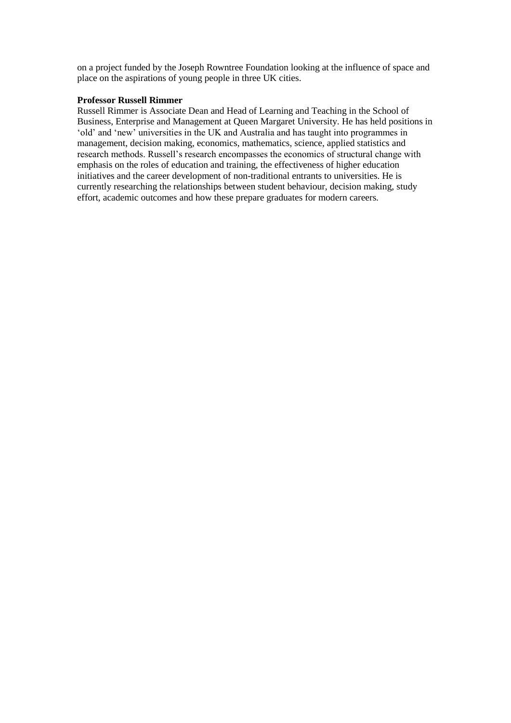on a project funded by the Joseph Rowntree Foundation looking at the influence of space and place on the aspirations of young people in three UK cities.

## **Professor Russell Rimmer**

Russell Rimmer is Associate Dean and Head of Learning and Teaching in the School of Business, Enterprise and Management at Queen Margaret University. He has held positions in 'old' and 'new' universities in the UK and Australia and has taught into programmes in management, decision making, economics, mathematics, science, applied statistics and research methods. Russell's research encompasses the economics of structural change with emphasis on the roles of education and training, the effectiveness of higher education initiatives and the career development of non-traditional entrants to universities. He is currently researching the relationships between student behaviour, decision making, study effort, academic outcomes and how these prepare graduates for modern careers.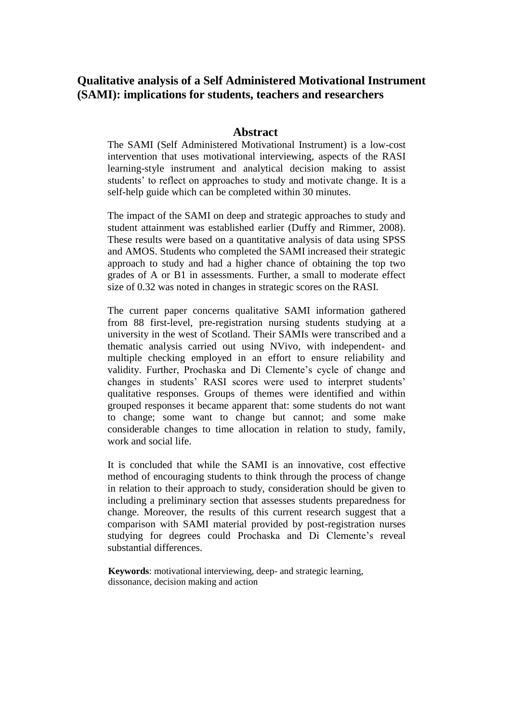# **Qualitative analysis of a Self Administered Motivational Instrument (SAMI): implications for students, teachers and researchers**

## **Abstract**

The SAMI (Self Administered Motivational Instrument) is a low-cost intervention that uses motivational interviewing, aspects of the RASI learning-style instrument and analytical decision making to assist students' to reflect on approaches to study and motivate change. It is a self-help guide which can be completed within 30 minutes.

The impact of the SAMI on deep and strategic approaches to study and student attainment was established earlier (Duffy and Rimmer, 2008). These results were based on a quantitative analysis of data using SPSS and AMOS. Students who completed the SAMI increased their strategic approach to study and had a higher chance of obtaining the top two grades of A or B1 in assessments. Further, a small to moderate effect size of 0.32 was noted in changes in strategic scores on the RASI.

The current paper concerns qualitative SAMI information gathered from 88 first-level, pre-registration nursing students studying at a university in the west of Scotland. Their SAMIs were transcribed and a thematic analysis carried out using NVivo, with independent- and multiple checking employed in an effort to ensure reliability and validity. Further, Prochaska and Di Clemente's cycle of change and changes in students' RASI scores were used to interpret students' qualitative responses. Groups of themes were identified and within grouped responses it became apparent that: some students do not want to change; some want to change but cannot; and some make considerable changes to time allocation in relation to study, family, work and social life.

It is concluded that while the SAMI is an innovative, cost effective method of encouraging students to think through the process of change in relation to their approach to study, consideration should be given to including a preliminary section that assesses students preparedness for change. Moreover, the results of this current research suggest that a comparison with SAMI material provided by post-registration nurses studying for degrees could Prochaska and Di Clemente's reveal substantial differences.

**Keywords**: motivational interviewing, deep- and strategic learning, dissonance, decision making and action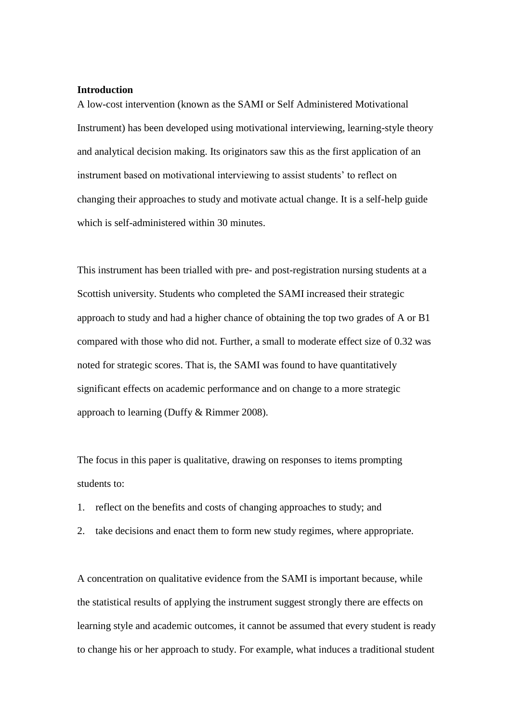## **Introduction**

A low-cost intervention (known as the SAMI or Self Administered Motivational Instrument) has been developed using motivational interviewing, learning-style theory and analytical decision making. Its originators saw this as the first application of an instrument based on motivational interviewing to assist students' to reflect on changing their approaches to study and motivate actual change. It is a self-help guide which is self-administered within 30 minutes.

This instrument has been trialled with pre- and post-registration nursing students at a Scottish university. Students who completed the SAMI increased their strategic approach to study and had a higher chance of obtaining the top two grades of A or B1 compared with those who did not. Further, a small to moderate effect size of 0.32 was noted for strategic scores. That is, the SAMI was found to have quantitatively significant effects on academic performance and on change to a more strategic approach to learning (Duffy & Rimmer 2008).

The focus in this paper is qualitative, drawing on responses to items prompting students to:

- 1. reflect on the benefits and costs of changing approaches to study; and
- 2. take decisions and enact them to form new study regimes, where appropriate.

A concentration on qualitative evidence from the SAMI is important because, while the statistical results of applying the instrument suggest strongly there are effects on learning style and academic outcomes, it cannot be assumed that every student is ready to change his or her approach to study. For example, what induces a traditional student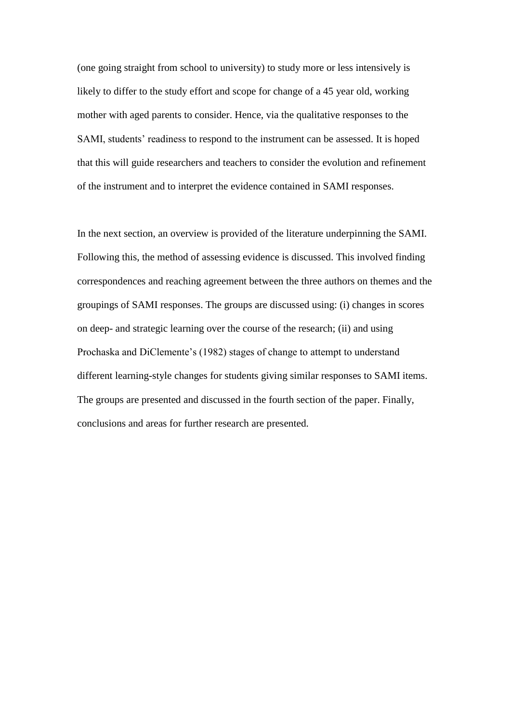(one going straight from school to university) to study more or less intensively is likely to differ to the study effort and scope for change of a 45 year old, working mother with aged parents to consider. Hence, via the qualitative responses to the SAMI, students' readiness to respond to the instrument can be assessed. It is hoped that this will guide researchers and teachers to consider the evolution and refinement of the instrument and to interpret the evidence contained in SAMI responses.

In the next section, an overview is provided of the literature underpinning the SAMI. Following this, the method of assessing evidence is discussed. This involved finding correspondences and reaching agreement between the three authors on themes and the groupings of SAMI responses. The groups are discussed using: (i) changes in scores on deep- and strategic learning over the course of the research; (ii) and using Prochaska and DiClemente's (1982) stages of change to attempt to understand different learning-style changes for students giving similar responses to SAMI items. The groups are presented and discussed in the fourth section of the paper. Finally, conclusions and areas for further research are presented.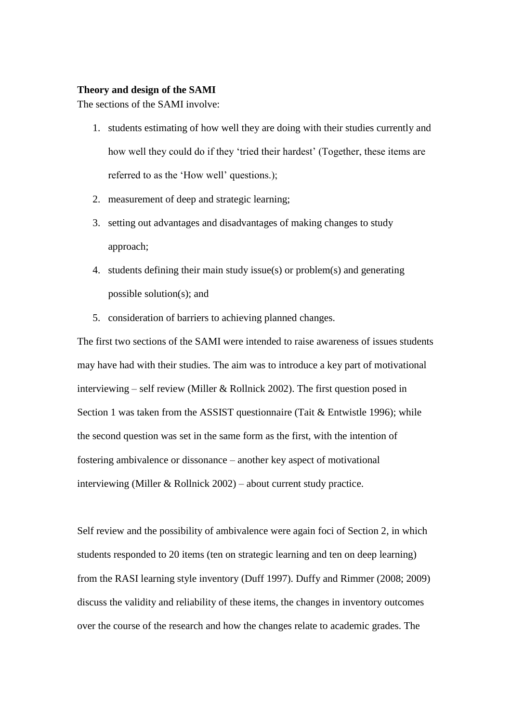## **Theory and design of the SAMI**

The sections of the SAMI involve:

- 1. students estimating of how well they are doing with their studies currently and how well they could do if they 'tried their hardest' (Together, these items are referred to as the 'How well' questions.);
- 2. measurement of deep and strategic learning;
- 3. setting out advantages and disadvantages of making changes to study approach;
- 4. students defining their main study issue(s) or problem(s) and generating possible solution(s); and
- 5. consideration of barriers to achieving planned changes.

The first two sections of the SAMI were intended to raise awareness of issues students may have had with their studies. The aim was to introduce a key part of motivational interviewing – self review (Miller & Rollnick 2002). The first question posed in Section 1 was taken from the ASSIST questionnaire (Tait & Entwistle 1996); while the second question was set in the same form as the first, with the intention of fostering ambivalence or dissonance – another key aspect of motivational interviewing (Miller & Rollnick 2002) – about current study practice.

Self review and the possibility of ambivalence were again foci of Section 2, in which students responded to 20 items (ten on strategic learning and ten on deep learning) from the RASI learning style inventory (Duff 1997). Duffy and Rimmer (2008; 2009) discuss the validity and reliability of these items, the changes in inventory outcomes over the course of the research and how the changes relate to academic grades. The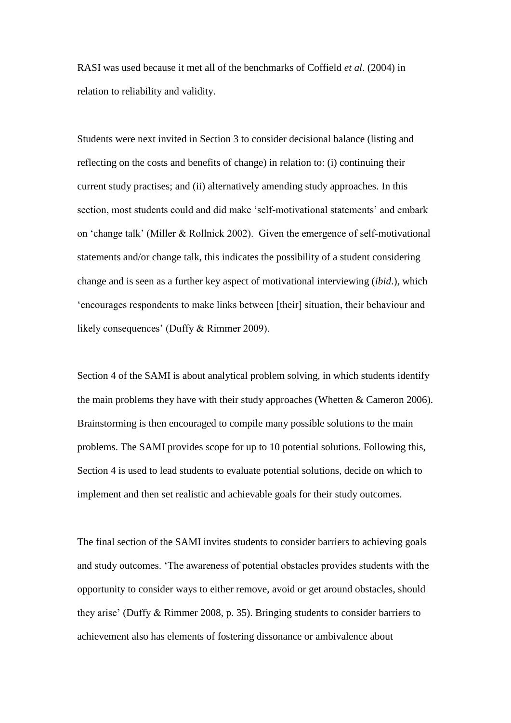RASI was used because it met all of the benchmarks of Coffield *et al*. (2004) in relation to reliability and validity.

Students were next invited in Section 3 to consider decisional balance (listing and reflecting on the costs and benefits of change) in relation to: (i) continuing their current study practises; and (ii) alternatively amending study approaches. In this section, most students could and did make 'self-motivational statements' and embark on 'change talk' (Miller & Rollnick 2002). Given the emergence of self-motivational statements and/or change talk, this indicates the possibility of a student considering change and is seen as a further key aspect of motivational interviewing (*ibid*.), which 'encourages respondents to make links between [their] situation, their behaviour and likely consequences' (Duffy & Rimmer 2009).

Section 4 of the SAMI is about analytical problem solving, in which students identify the main problems they have with their study approaches (Whetten  $&$  Cameron 2006). Brainstorming is then encouraged to compile many possible solutions to the main problems. The SAMI provides scope for up to 10 potential solutions. Following this, Section 4 is used to lead students to evaluate potential solutions, decide on which to implement and then set realistic and achievable goals for their study outcomes.

The final section of the SAMI invites students to consider barriers to achieving goals and study outcomes. 'The awareness of potential obstacles provides students with the opportunity to consider ways to either remove, avoid or get around obstacles, should they arise' (Duffy & Rimmer 2008, p. 35). Bringing students to consider barriers to achievement also has elements of fostering dissonance or ambivalence about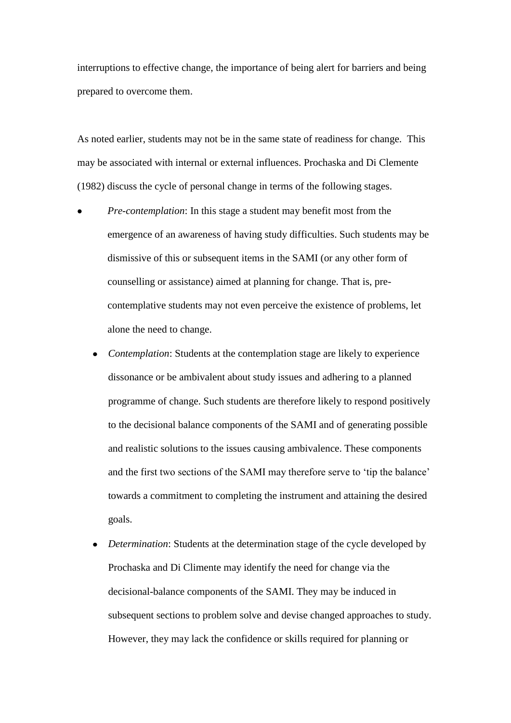interruptions to effective change, the importance of being alert for barriers and being prepared to overcome them.

As noted earlier, students may not be in the same state of readiness for change. This may be associated with internal or external influences. Prochaska and Di Clemente (1982) discuss the cycle of personal change in terms of the following stages.

- *Pre-contemplation*: In this stage a student may benefit most from the emergence of an awareness of having study difficulties. Such students may be dismissive of this or subsequent items in the SAMI (or any other form of counselling or assistance) aimed at planning for change. That is, precontemplative students may not even perceive the existence of problems, let alone the need to change.
	- *Contemplation*: Students at the contemplation stage are likely to experience dissonance or be ambivalent about study issues and adhering to a planned programme of change. Such students are therefore likely to respond positively to the decisional balance components of the SAMI and of generating possible and realistic solutions to the issues causing ambivalence. These components and the first two sections of the SAMI may therefore serve to 'tip the balance' towards a commitment to completing the instrument and attaining the desired goals.
	- *Determination*: Students at the determination stage of the cycle developed by Prochaska and Di Climente may identify the need for change via the decisional-balance components of the SAMI. They may be induced in subsequent sections to problem solve and devise changed approaches to study. However, they may lack the confidence or skills required for planning or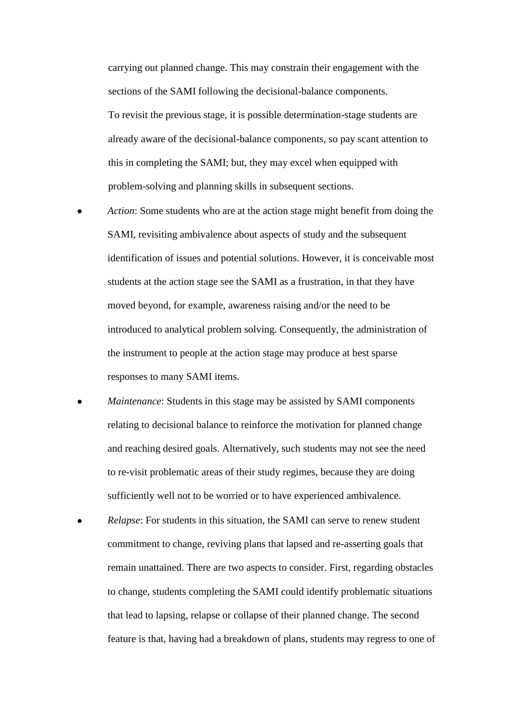carrying out planned change. This may constrain their engagement with the sections of the SAMI following the decisional-balance components. To revisit the previous stage, it is possible determination-stage students are already aware of the decisional-balance components, so pay scant attention to this in completing the SAMI; but, they may excel when equipped with problem-solving and planning skills in subsequent sections.

- *Action*: Some students who are at the action stage might benefit from doing the SAMI, revisiting ambivalence about aspects of study and the subsequent identification of issues and potential solutions. However, it is conceivable most students at the action stage see the SAMI as a frustration, in that they have moved beyond, for example, awareness raising and/or the need to be introduced to analytical problem solving. Consequently, the administration of the instrument to people at the action stage may produce at best sparse responses to many SAMI items.
- *Maintenance*: Students in this stage may be assisted by SAMI components relating to decisional balance to reinforce the motivation for planned change and reaching desired goals. Alternatively, such students may not see the need to re-visit problematic areas of their study regimes, because they are doing sufficiently well not to be worried or to have experienced ambivalence.
- *Relapse*: For students in this situation, the SAMI can serve to renew student commitment to change, reviving plans that lapsed and re-asserting goals that remain unattained. There are two aspects to consider. First, regarding obstacles to change, students completing the SAMI could identify problematic situations that lead to lapsing, relapse or collapse of their planned change. The second feature is that, having had a breakdown of plans, students may regress to one of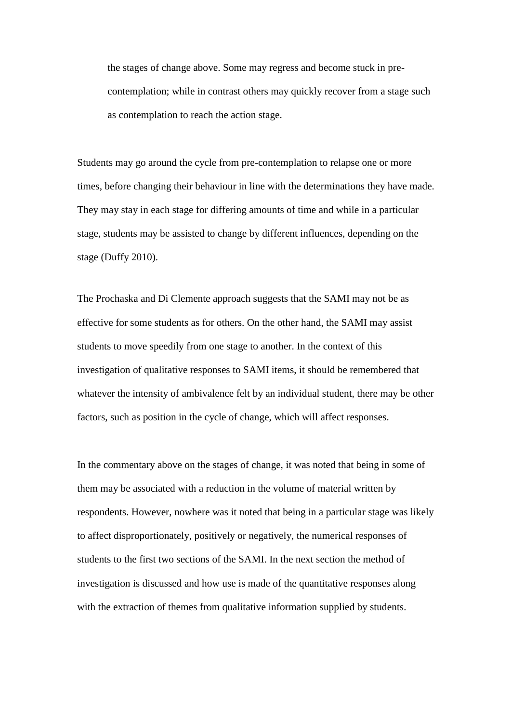the stages of change above. Some may regress and become stuck in precontemplation; while in contrast others may quickly recover from a stage such as contemplation to reach the action stage.

Students may go around the cycle from pre-contemplation to relapse one or more times, before changing their behaviour in line with the determinations they have made. They may stay in each stage for differing amounts of time and while in a particular stage, students may be assisted to change by different influences, depending on the stage (Duffy 2010).

The Prochaska and Di Clemente approach suggests that the SAMI may not be as effective for some students as for others. On the other hand, the SAMI may assist students to move speedily from one stage to another. In the context of this investigation of qualitative responses to SAMI items, it should be remembered that whatever the intensity of ambivalence felt by an individual student, there may be other factors, such as position in the cycle of change, which will affect responses.

In the commentary above on the stages of change, it was noted that being in some of them may be associated with a reduction in the volume of material written by respondents. However, nowhere was it noted that being in a particular stage was likely to affect disproportionately, positively or negatively, the numerical responses of students to the first two sections of the SAMI. In the next section the method of investigation is discussed and how use is made of the quantitative responses along with the extraction of themes from qualitative information supplied by students.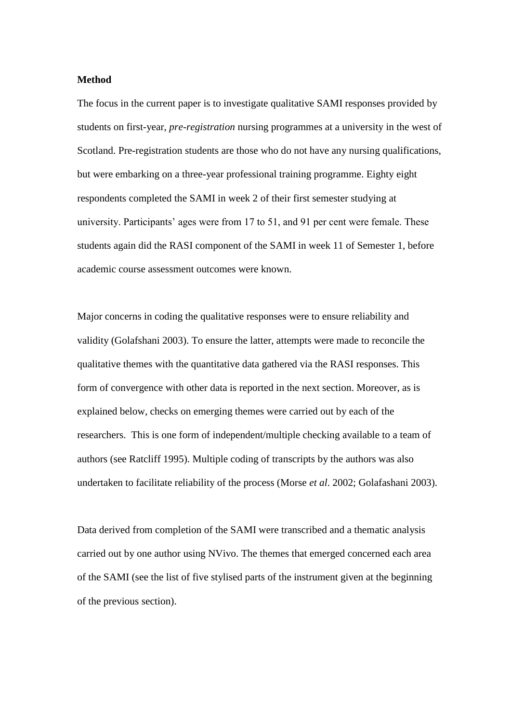#### **Method**

The focus in the current paper is to investigate qualitative SAMI responses provided by students on first-year, *pre-registration* nursing programmes at a university in the west of Scotland. Pre-registration students are those who do not have any nursing qualifications, but were embarking on a three-year professional training programme. Eighty eight respondents completed the SAMI in week 2 of their first semester studying at university. Participants' ages were from 17 to 51, and 91 per cent were female. These students again did the RASI component of the SAMI in week 11 of Semester 1, before academic course assessment outcomes were known.

Major concerns in coding the qualitative responses were to ensure reliability and validity (Golafshani 2003). To ensure the latter, attempts were made to reconcile the qualitative themes with the quantitative data gathered via the RASI responses. This form of convergence with other data is reported in the next section. Moreover, as is explained below, checks on emerging themes were carried out by each of the researchers. This is one form of independent/multiple checking available to a team of authors (see Ratcliff 1995). Multiple coding of transcripts by the authors was also undertaken to facilitate reliability of the process (Morse *et al*. 2002; Golafashani 2003).

Data derived from completion of the SAMI were transcribed and a thematic analysis carried out by one author using NVivo. The themes that emerged concerned each area of the SAMI (see the list of five stylised parts of the instrument given at the beginning of the previous section).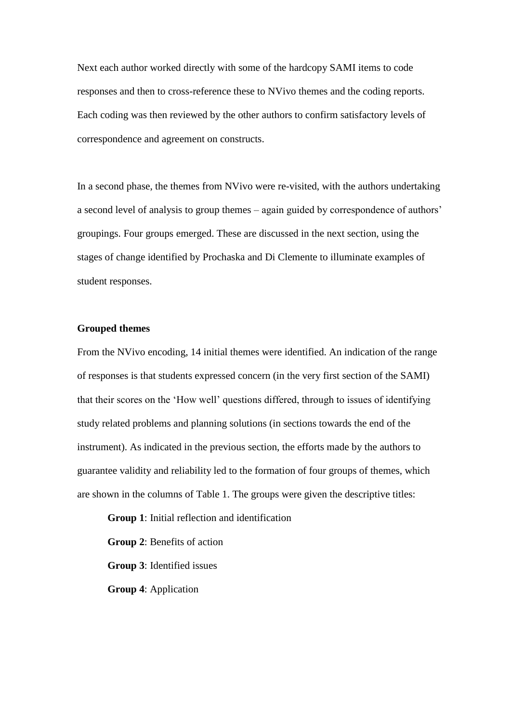Next each author worked directly with some of the hardcopy SAMI items to code responses and then to cross-reference these to NVivo themes and the coding reports. Each coding was then reviewed by the other authors to confirm satisfactory levels of correspondence and agreement on constructs.

In a second phase, the themes from NVivo were re-visited, with the authors undertaking a second level of analysis to group themes – again guided by correspondence of authors' groupings. Four groups emerged. These are discussed in the next section, using the stages of change identified by Prochaska and Di Clemente to illuminate examples of student responses.

## **Grouped themes**

From the NVivo encoding, 14 initial themes were identified. An indication of the range of responses is that students expressed concern (in the very first section of the SAMI) that their scores on the 'How well' questions differed, through to issues of identifying study related problems and planning solutions (in sections towards the end of the instrument). As indicated in the previous section, the efforts made by the authors to guarantee validity and reliability led to the formation of four groups of themes, which are shown in the columns of Table 1. The groups were given the descriptive titles:

**Group 1**: Initial reflection and identification **Group 2**: Benefits of action **Group 3**: Identified issues **Group 4**: Application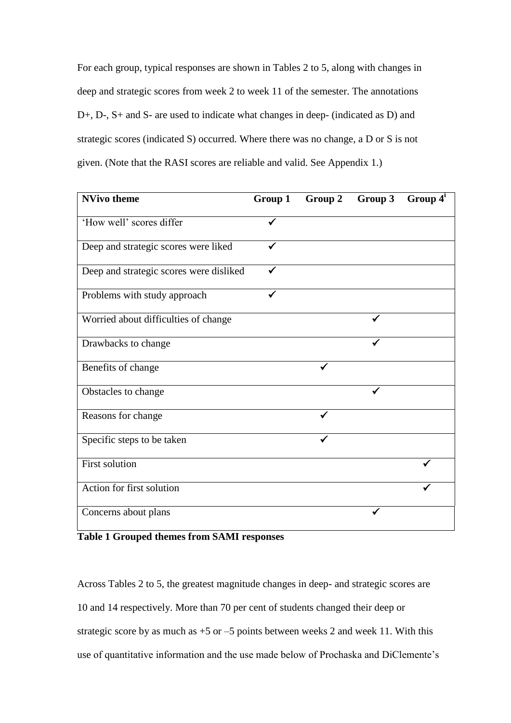For each group, typical responses are shown in Tables 2 to 5, along with changes in deep and strategic scores from week 2 to week 11 of the semester. The annotations D+, D-, S+ and S- are used to indicate what changes in deep- (indicated as D) and strategic scores (indicated S) occurred. Where there was no change, a D or S is not given. (Note that the RASI scores are reliable and valid. See Appendix 1.)

| <b>NVivo theme</b>                      | Group 1 | Group 2 | Group 3      | Group $4^i$ |
|-----------------------------------------|---------|---------|--------------|-------------|
| 'How well' scores differ                |         |         |              |             |
| Deep and strategic scores were liked    | ✔       |         |              |             |
| Deep and strategic scores were disliked | ✓       |         |              |             |
| Problems with study approach            |         |         |              |             |
| Worried about difficulties of change    |         |         | $\checkmark$ |             |
| Drawbacks to change                     |         |         |              |             |
| Benefits of change                      |         |         |              |             |
| Obstacles to change                     |         |         |              |             |
| Reasons for change                      |         | ✓       |              |             |
| Specific steps to be taken              |         |         |              |             |
| <b>First solution</b>                   |         |         |              |             |
| Action for first solution               |         |         |              |             |
| Concerns about plans                    |         |         |              |             |

**Table 1 Grouped themes from SAMI responses**

Across Tables 2 to 5, the greatest magnitude changes in deep- and strategic scores are 10 and 14 respectively. More than 70 per cent of students changed their deep or strategic score by as much as  $+5$  or  $-5$  points between weeks 2 and week 11. With this use of quantitative information and the use made below of Prochaska and DiClemente's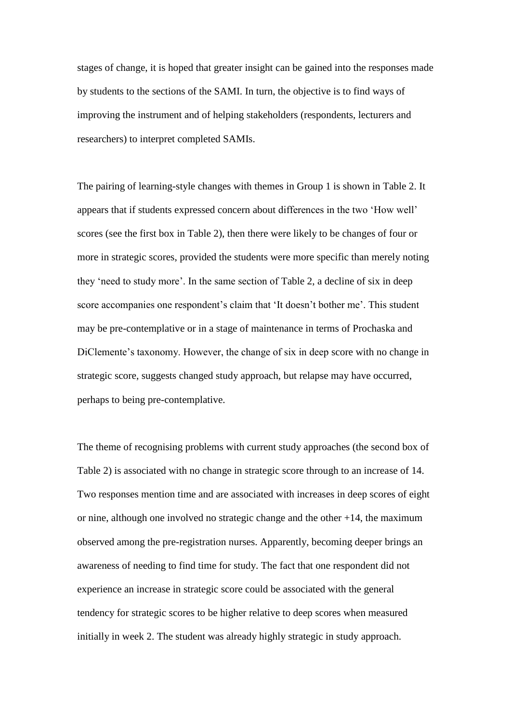stages of change, it is hoped that greater insight can be gained into the responses made by students to the sections of the SAMI. In turn, the objective is to find ways of improving the instrument and of helping stakeholders (respondents, lecturers and researchers) to interpret completed SAMIs.

The pairing of learning-style changes with themes in Group 1 is shown in Table 2. It appears that if students expressed concern about differences in the two 'How well' scores (see the first box in Table 2), then there were likely to be changes of four or more in strategic scores, provided the students were more specific than merely noting they 'need to study more'. In the same section of Table 2, a decline of six in deep score accompanies one respondent's claim that 'It doesn't bother me'. This student may be pre-contemplative or in a stage of maintenance in terms of Prochaska and DiClemente's taxonomy. However, the change of six in deep score with no change in strategic score, suggests changed study approach, but relapse may have occurred, perhaps to being pre-contemplative.

The theme of recognising problems with current study approaches (the second box of Table 2) is associated with no change in strategic score through to an increase of 14. Two responses mention time and are associated with increases in deep scores of eight or nine, although one involved no strategic change and the other  $+14$ , the maximum observed among the pre-registration nurses. Apparently, becoming deeper brings an awareness of needing to find time for study. The fact that one respondent did not experience an increase in strategic score could be associated with the general tendency for strategic scores to be higher relative to deep scores when measured initially in week 2. The student was already highly strategic in study approach.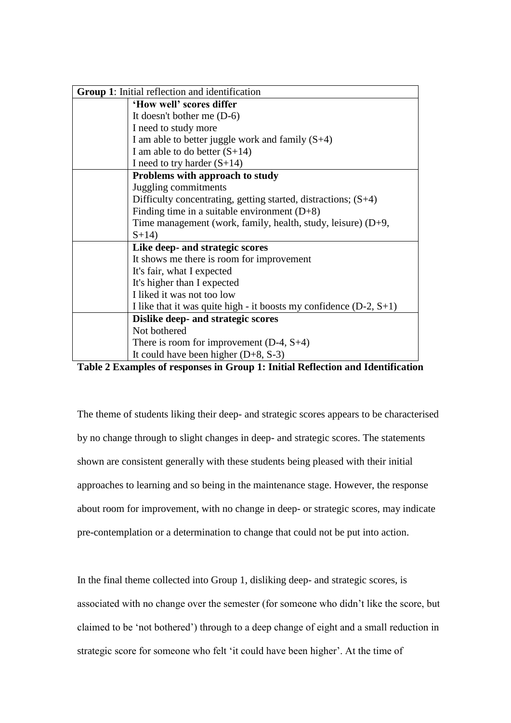| <b>Group 1:</b> Initial reflection and identification                |  |  |
|----------------------------------------------------------------------|--|--|
| 'How well' scores differ                                             |  |  |
| It doesn't bother me $(D-6)$                                         |  |  |
| I need to study more                                                 |  |  |
| I am able to better juggle work and family $(S+4)$                   |  |  |
| I am able to do better $(S+14)$                                      |  |  |
| I need to try harder $(S+14)$                                        |  |  |
| Problems with approach to study                                      |  |  |
| Juggling commitments                                                 |  |  |
| Difficulty concentrating, getting started, distractions; $(S+4)$     |  |  |
| Finding time in a suitable environment $(D+8)$                       |  |  |
| Time management (work, family, health, study, leisure) $(D+9,$       |  |  |
| $S+14$                                                               |  |  |
| Like deep- and strategic scores                                      |  |  |
| It shows me there is room for improvement                            |  |  |
| It's fair, what I expected                                           |  |  |
| It's higher than I expected                                          |  |  |
| I liked it was not too low                                           |  |  |
| I like that it was quite high - it boosts my confidence $(D-2, S+1)$ |  |  |
| Dislike deep- and strategic scores                                   |  |  |
| Not bothered                                                         |  |  |
| There is room for improvement $(D-4, S+4)$                           |  |  |
| It could have been higher $(D+8, S-3)$                               |  |  |

**Table 2 Examples of responses in Group 1: Initial Reflection and Identification**

The theme of students liking their deep- and strategic scores appears to be characterised by no change through to slight changes in deep- and strategic scores. The statements shown are consistent generally with these students being pleased with their initial approaches to learning and so being in the maintenance stage. However, the response about room for improvement, with no change in deep- or strategic scores, may indicate pre-contemplation or a determination to change that could not be put into action.

In the final theme collected into Group 1, disliking deep- and strategic scores, is associated with no change over the semester (for someone who didn't like the score, but claimed to be 'not bothered') through to a deep change of eight and a small reduction in strategic score for someone who felt 'it could have been higher'. At the time of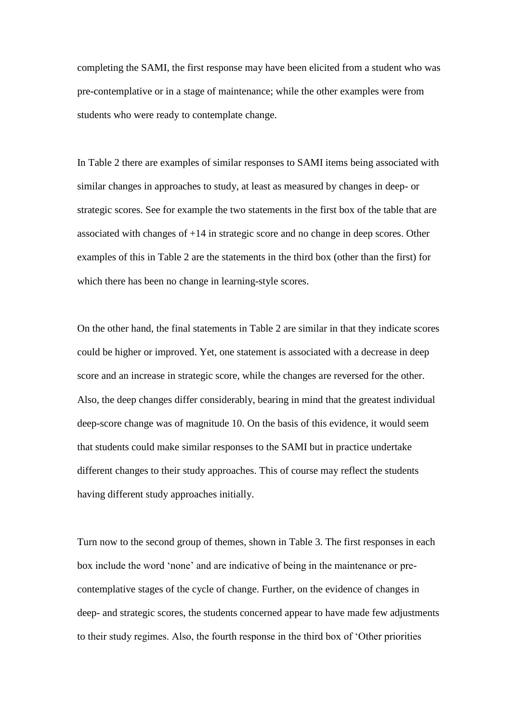completing the SAMI, the first response may have been elicited from a student who was pre-contemplative or in a stage of maintenance; while the other examples were from students who were ready to contemplate change.

In Table 2 there are examples of similar responses to SAMI items being associated with similar changes in approaches to study, at least as measured by changes in deep- or strategic scores. See for example the two statements in the first box of the table that are associated with changes of +14 in strategic score and no change in deep scores. Other examples of this in Table 2 are the statements in the third box (other than the first) for which there has been no change in learning-style scores.

On the other hand, the final statements in Table 2 are similar in that they indicate scores could be higher or improved. Yet, one statement is associated with a decrease in deep score and an increase in strategic score, while the changes are reversed for the other. Also, the deep changes differ considerably, bearing in mind that the greatest individual deep-score change was of magnitude 10. On the basis of this evidence, it would seem that students could make similar responses to the SAMI but in practice undertake different changes to their study approaches. This of course may reflect the students having different study approaches initially.

Turn now to the second group of themes, shown in Table 3. The first responses in each box include the word 'none' and are indicative of being in the maintenance or precontemplative stages of the cycle of change. Further, on the evidence of changes in deep- and strategic scores, the students concerned appear to have made few adjustments to their study regimes. Also, the fourth response in the third box of 'Other priorities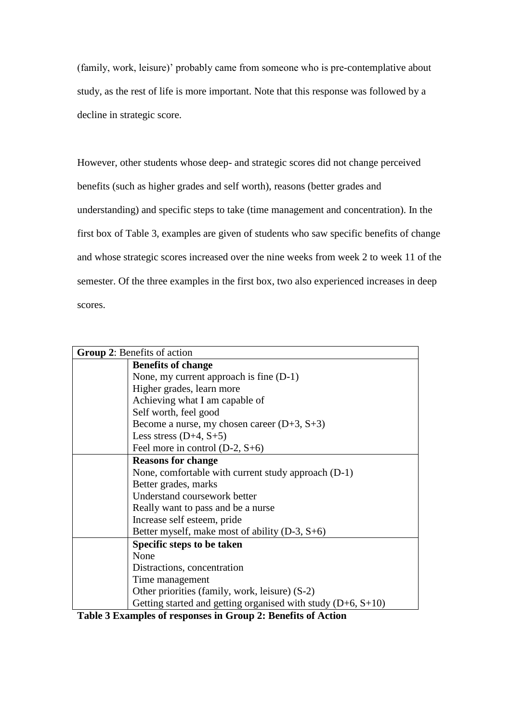(family, work, leisure)' probably came from someone who is pre-contemplative about study, as the rest of life is more important. Note that this response was followed by a decline in strategic score.

However, other students whose deep- and strategic scores did not change perceived benefits (such as higher grades and self worth), reasons (better grades and understanding) and specific steps to take (time management and concentration). In the first box of Table 3, examples are given of students who saw specific benefits of change and whose strategic scores increased over the nine weeks from week 2 to week 11 of the semester. Of the three examples in the first box, two also experienced increases in deep scores.

| Group 2: Benefits of action |                                                                |  |
|-----------------------------|----------------------------------------------------------------|--|
|                             | <b>Benefits of change</b>                                      |  |
|                             | None, my current approach is fine (D-1)                        |  |
|                             | Higher grades, learn more                                      |  |
|                             | Achieving what I am capable of                                 |  |
|                             | Self worth, feel good                                          |  |
|                             | Become a nurse, my chosen career $(D+3, S+3)$                  |  |
|                             | Less stress $(D+4, S+5)$                                       |  |
|                             | Feel more in control $(D-2, S+6)$                              |  |
|                             | <b>Reasons for change</b>                                      |  |
|                             | None, comfortable with current study approach (D-1)            |  |
|                             | Better grades, marks                                           |  |
|                             | Understand coursework better                                   |  |
|                             | Really want to pass and be a nurse                             |  |
|                             | Increase self esteem, pride                                    |  |
|                             | Better myself, make most of ability $(D-3, S+6)$               |  |
|                             | Specific steps to be taken                                     |  |
|                             | None                                                           |  |
|                             | Distractions, concentration                                    |  |
|                             | Time management                                                |  |
|                             | Other priorities (family, work, leisure) (S-2)                 |  |
|                             | Getting started and getting organised with study $(D+6, S+10)$ |  |

**Table 3 Examples of responses in Group 2: Benefits of Action**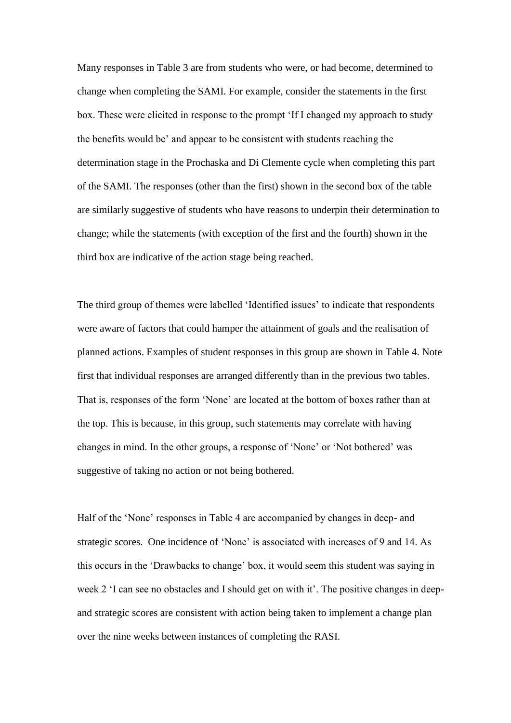Many responses in Table 3 are from students who were, or had become, determined to change when completing the SAMI. For example, consider the statements in the first box. These were elicited in response to the prompt 'If I changed my approach to study the benefits would be' and appear to be consistent with students reaching the determination stage in the Prochaska and Di Clemente cycle when completing this part of the SAMI. The responses (other than the first) shown in the second box of the table are similarly suggestive of students who have reasons to underpin their determination to change; while the statements (with exception of the first and the fourth) shown in the third box are indicative of the action stage being reached.

The third group of themes were labelled 'Identified issues' to indicate that respondents were aware of factors that could hamper the attainment of goals and the realisation of planned actions. Examples of student responses in this group are shown in Table 4. Note first that individual responses are arranged differently than in the previous two tables. That is, responses of the form 'None' are located at the bottom of boxes rather than at the top. This is because, in this group, such statements may correlate with having changes in mind. In the other groups, a response of 'None' or 'Not bothered' was suggestive of taking no action or not being bothered.

Half of the 'None' responses in Table 4 are accompanied by changes in deep- and strategic scores. One incidence of 'None' is associated with increases of 9 and 14. As this occurs in the 'Drawbacks to change' box, it would seem this student was saying in week 2 'I can see no obstacles and I should get on with it'. The positive changes in deepand strategic scores are consistent with action being taken to implement a change plan over the nine weeks between instances of completing the RASI.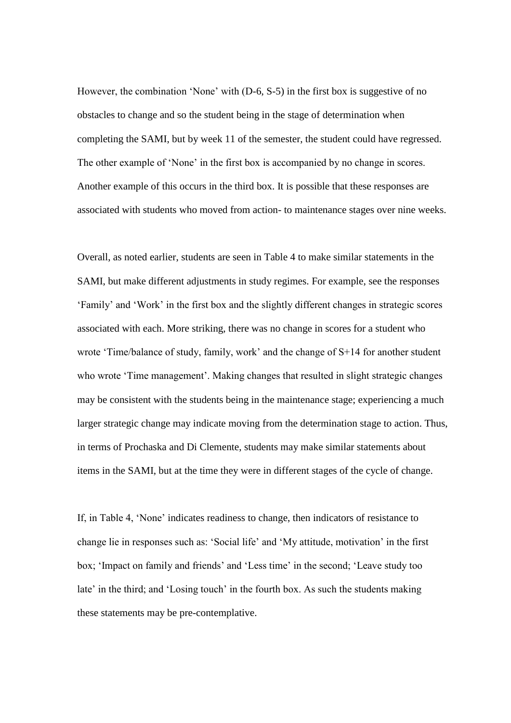However, the combination 'None' with (D-6, S-5) in the first box is suggestive of no obstacles to change and so the student being in the stage of determination when completing the SAMI, but by week 11 of the semester, the student could have regressed. The other example of 'None' in the first box is accompanied by no change in scores. Another example of this occurs in the third box. It is possible that these responses are associated with students who moved from action- to maintenance stages over nine weeks.

Overall, as noted earlier, students are seen in Table 4 to make similar statements in the SAMI, but make different adjustments in study regimes. For example, see the responses 'Family' and 'Work' in the first box and the slightly different changes in strategic scores associated with each. More striking, there was no change in scores for a student who wrote 'Time/balance of study, family, work' and the change of S+14 for another student who wrote 'Time management'. Making changes that resulted in slight strategic changes may be consistent with the students being in the maintenance stage; experiencing a much larger strategic change may indicate moving from the determination stage to action. Thus, in terms of Prochaska and Di Clemente, students may make similar statements about items in the SAMI, but at the time they were in different stages of the cycle of change.

If, in Table 4, 'None' indicates readiness to change, then indicators of resistance to change lie in responses such as: 'Social life' and 'My attitude, motivation' in the first box; 'Impact on family and friends' and 'Less time' in the second; 'Leave study too late' in the third; and 'Losing touch' in the fourth box. As such the students making these statements may be pre-contemplative.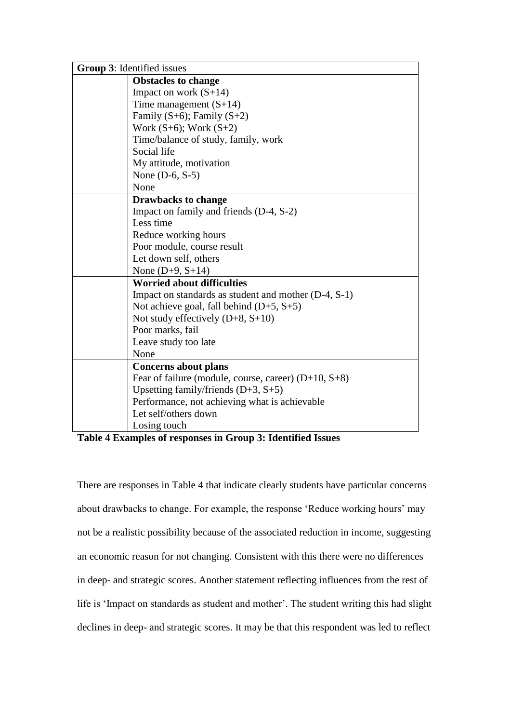| Group 3: Identified issues                             |  |
|--------------------------------------------------------|--|
| <b>Obstacles to change</b>                             |  |
| Impact on work $(S+14)$                                |  |
| Time management $(S+14)$                               |  |
| Family $(S+6)$ ; Family $(S+2)$                        |  |
| Work $(S+6)$ ; Work $(S+2)$                            |  |
| Time/balance of study, family, work                    |  |
| Social life                                            |  |
| My attitude, motivation                                |  |
| None $(D-6, S-5)$                                      |  |
| None                                                   |  |
| <b>Drawbacks to change</b>                             |  |
| Impact on family and friends (D-4, S-2)                |  |
| Less time                                              |  |
| Reduce working hours                                   |  |
| Poor module, course result                             |  |
| Let down self, others                                  |  |
| None $(D+9, S+14)$                                     |  |
| <b>Worried about difficulties</b>                      |  |
| Impact on standards as student and mother (D-4, S-1)   |  |
| Not achieve goal, fall behind $(D+5, S+5)$             |  |
| Not study effectively $(D+8, S+10)$                    |  |
| Poor marks, fail                                       |  |
| Leave study too late                                   |  |
| None                                                   |  |
| <b>Concerns about plans</b>                            |  |
| Fear of failure (module, course, career) $(D+10, S+8)$ |  |
| Upsetting family/friends $(D+3, S+5)$                  |  |
| Performance, not achieving what is achievable          |  |
| Let self/others down                                   |  |
| Losing touch                                           |  |

**Table 4 Examples of responses in Group 3: Identified Issues**

There are responses in Table 4 that indicate clearly students have particular concerns about drawbacks to change. For example, the response 'Reduce working hours' may not be a realistic possibility because of the associated reduction in income, suggesting an economic reason for not changing. Consistent with this there were no differences in deep- and strategic scores. Another statement reflecting influences from the rest of life is 'Impact on standards as student and mother'. The student writing this had slight declines in deep- and strategic scores. It may be that this respondent was led to reflect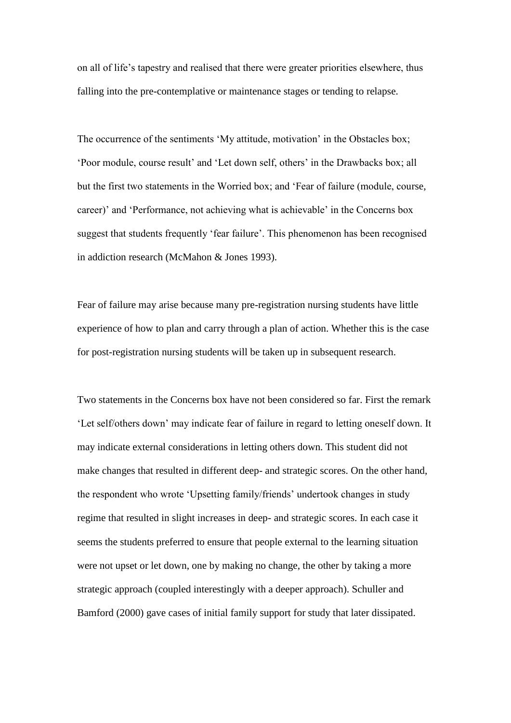on all of life's tapestry and realised that there were greater priorities elsewhere, thus falling into the pre-contemplative or maintenance stages or tending to relapse.

The occurrence of the sentiments 'My attitude, motivation' in the Obstacles box; 'Poor module, course result' and 'Let down self, others' in the Drawbacks box; all but the first two statements in the Worried box; and 'Fear of failure (module, course, career)' and 'Performance, not achieving what is achievable' in the Concerns box suggest that students frequently 'fear failure'. This phenomenon has been recognised in addiction research (McMahon & Jones 1993).

Fear of failure may arise because many pre-registration nursing students have little experience of how to plan and carry through a plan of action. Whether this is the case for post-registration nursing students will be taken up in subsequent research.

Two statements in the Concerns box have not been considered so far. First the remark 'Let self/others down' may indicate fear of failure in regard to letting oneself down. It may indicate external considerations in letting others down. This student did not make changes that resulted in different deep- and strategic scores. On the other hand, the respondent who wrote 'Upsetting family/friends' undertook changes in study regime that resulted in slight increases in deep- and strategic scores. In each case it seems the students preferred to ensure that people external to the learning situation were not upset or let down, one by making no change, the other by taking a more strategic approach (coupled interestingly with a deeper approach). Schuller and Bamford (2000) gave cases of initial family support for study that later dissipated.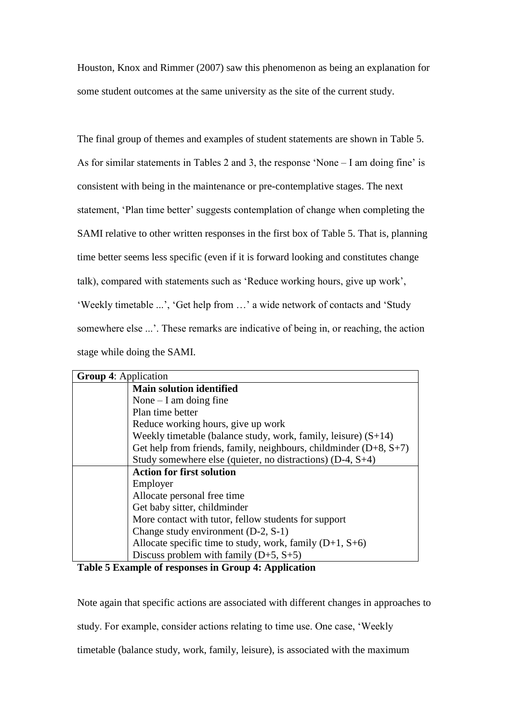Houston, Knox and Rimmer (2007) saw this phenomenon as being an explanation for some student outcomes at the same university as the site of the current study.

The final group of themes and examples of student statements are shown in Table 5. As for similar statements in Tables 2 and 3, the response 'None – I am doing fine' is consistent with being in the maintenance or pre-contemplative stages. The next statement, 'Plan time better' suggests contemplation of change when completing the SAMI relative to other written responses in the first box of Table 5. That is, planning time better seems less specific (even if it is forward looking and constitutes change talk), compared with statements such as 'Reduce working hours, give up work', 'Weekly timetable ...', 'Get help from …' a wide network of contacts and 'Study somewhere else ...'. These remarks are indicative of being in, or reaching, the action stage while doing the SAMI.

| <b>Group 4: Application</b> |                                                                     |  |
|-----------------------------|---------------------------------------------------------------------|--|
|                             | <b>Main solution identified</b>                                     |  |
|                             | None $-$ I am doing fine                                            |  |
|                             | Plan time better                                                    |  |
|                             | Reduce working hours, give up work                                  |  |
|                             | Weekly timetable (balance study, work, family, leisure) $(S+14)$    |  |
|                             | Get help from friends, family, neighbours, childminder $(D+8, S+7)$ |  |
|                             | Study somewhere else (quieter, no distractions) $(D-4, S+4)$        |  |
|                             | <b>Action for first solution</b>                                    |  |
|                             | Employer                                                            |  |
|                             | Allocate personal free time                                         |  |
|                             | Get baby sitter, childminder                                        |  |
|                             | More contact with tutor, fellow students for support                |  |
|                             | Change study environment $(D-2, S-1)$                               |  |
|                             | Allocate specific time to study, work, family $(D+1, S+6)$          |  |
|                             | Discuss problem with family $(D+5, S+5)$                            |  |

**Table 5 Example of responses in Group 4: Application**

Note again that specific actions are associated with different changes in approaches to study. For example, consider actions relating to time use. One case, 'Weekly timetable (balance study, work, family, leisure), is associated with the maximum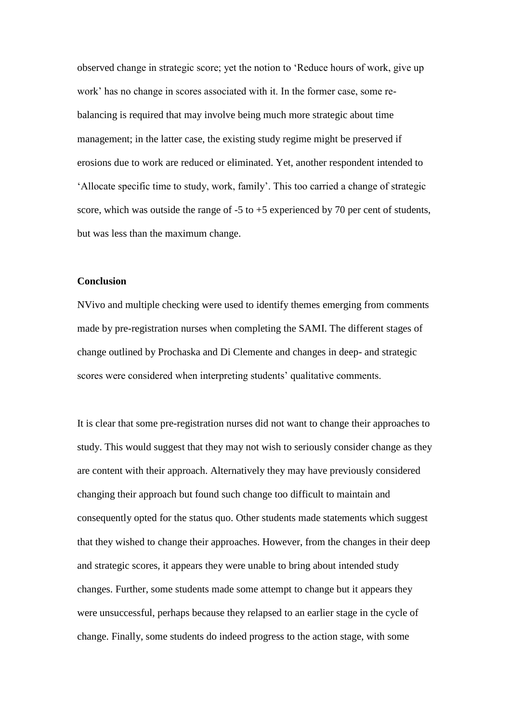observed change in strategic score; yet the notion to 'Reduce hours of work, give up work' has no change in scores associated with it. In the former case, some rebalancing is required that may involve being much more strategic about time management; in the latter case, the existing study regime might be preserved if erosions due to work are reduced or eliminated. Yet, another respondent intended to 'Allocate specific time to study, work, family'. This too carried a change of strategic score, which was outside the range of  $-5$  to  $+5$  experienced by 70 per cent of students, but was less than the maximum change.

## **Conclusion**

NVivo and multiple checking were used to identify themes emerging from comments made by pre-registration nurses when completing the SAMI. The different stages of change outlined by Prochaska and Di Clemente and changes in deep- and strategic scores were considered when interpreting students' qualitative comments.

It is clear that some pre-registration nurses did not want to change their approaches to study. This would suggest that they may not wish to seriously consider change as they are content with their approach. Alternatively they may have previously considered changing their approach but found such change too difficult to maintain and consequently opted for the status quo. Other students made statements which suggest that they wished to change their approaches. However, from the changes in their deep and strategic scores, it appears they were unable to bring about intended study changes. Further, some students made some attempt to change but it appears they were unsuccessful, perhaps because they relapsed to an earlier stage in the cycle of change. Finally, some students do indeed progress to the action stage, with some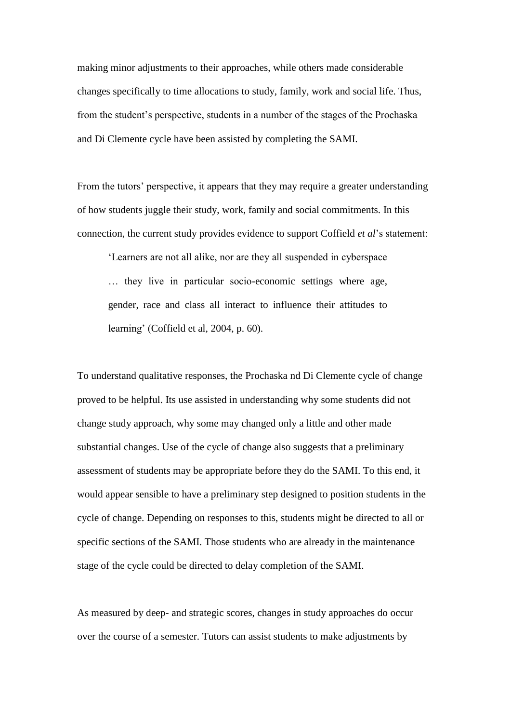making minor adjustments to their approaches, while others made considerable changes specifically to time allocations to study, family, work and social life. Thus, from the student's perspective, students in a number of the stages of the Prochaska and Di Clemente cycle have been assisted by completing the SAMI.

From the tutors' perspective, it appears that they may require a greater understanding of how students juggle their study, work, family and social commitments. In this connection, the current study provides evidence to support Coffield *et al*'s statement:

'Learners are not all alike, nor are they all suspended in cyberspace … they live in particular socio-economic settings where age, gender, race and class all interact to influence their attitudes to learning' (Coffield et al, 2004, p. 60).

To understand qualitative responses, the Prochaska nd Di Clemente cycle of change proved to be helpful. Its use assisted in understanding why some students did not change study approach, why some may changed only a little and other made substantial changes. Use of the cycle of change also suggests that a preliminary assessment of students may be appropriate before they do the SAMI. To this end, it would appear sensible to have a preliminary step designed to position students in the cycle of change. Depending on responses to this, students might be directed to all or specific sections of the SAMI. Those students who are already in the maintenance stage of the cycle could be directed to delay completion of the SAMI.

As measured by deep- and strategic scores, changes in study approaches do occur over the course of a semester. Tutors can assist students to make adjustments by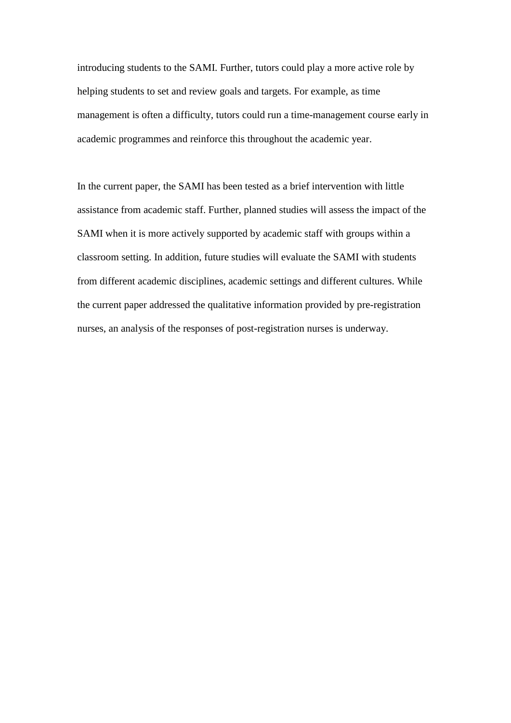introducing students to the SAMI. Further, tutors could play a more active role by helping students to set and review goals and targets. For example, as time management is often a difficulty, tutors could run a time-management course early in academic programmes and reinforce this throughout the academic year.

In the current paper, the SAMI has been tested as a brief intervention with little assistance from academic staff. Further, planned studies will assess the impact of the SAMI when it is more actively supported by academic staff with groups within a classroom setting. In addition, future studies will evaluate the SAMI with students from different academic disciplines, academic settings and different cultures. While the current paper addressed the qualitative information provided by pre-registration nurses, an analysis of the responses of post-registration nurses is underway.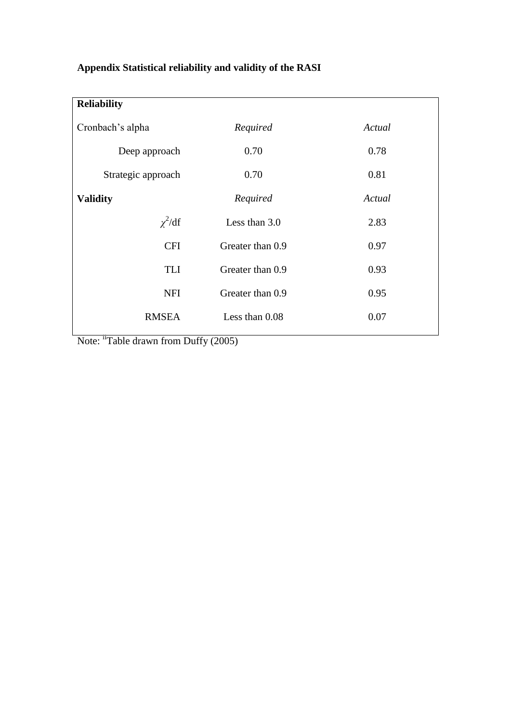# **Appendix Statistical reliability and validity of the RASI**

| <b>Reliability</b> |                  |        |
|--------------------|------------------|--------|
| Cronbach's alpha   | Required         | Actual |
| Deep approach      | 0.70             | 0.78   |
| Strategic approach | 0.70             | 0.81   |
| <b>Validity</b>    | Required         | Actual |
| $\chi^2$ /df       | Less than $3.0$  | 2.83   |
| <b>CFI</b>         | Greater than 0.9 | 0.97   |
| TLI                | Greater than 0.9 | 0.93   |
| NFI                | Greater than 0.9 | 0.95   |
| <b>RMSEA</b>       | Less than 0.08   | 0.07   |
|                    |                  |        |

Note: <sup>ii</sup>Table drawn from Duffy (2005)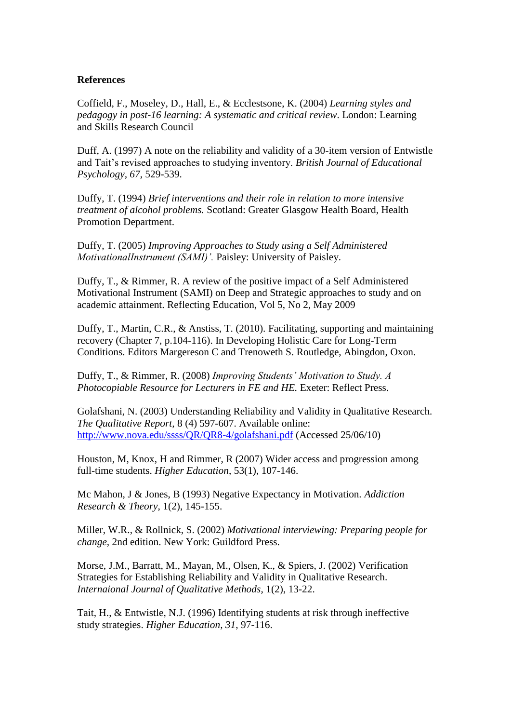## **References**

Coffield, F., Moseley, D., Hall, E., & Ecclestsone, K. (2004) *Learning styles and pedagogy in post-16 learning: A systematic and critical review*. London: Learning and Skills Research Council

Duff, A. (1997) A note on the reliability and validity of a 30-item version of Entwistle and Tait's revised approaches to studying inventory. *British Journal of Educational Psychology, 67*, 529-539.

Duffy, T. (1994) *Brief interventions and their role in relation to more intensive treatment of alcohol problems.* Scotland: Greater Glasgow Health Board, Health Promotion Department.

Duffy, T. (2005) *Improving Approaches to Study using a Self Administered MotivationalInstrument (SAMI)'.* Paisley: University of Paisley.

Duffy, T., & Rimmer, R. A review of the positive impact of a Self Administered Motivational Instrument (SAMI) on Deep and Strategic approaches to study and on academic attainment. Reflecting Education, Vol 5, No 2, May 2009

Duffy, T., Martin, C.R., & Anstiss, T. (2010). Facilitating, supporting and maintaining recovery (Chapter 7, p.104-116). In Developing Holistic Care for Long-Term Conditions. Editors Margereson C and Trenoweth S. Routledge, Abingdon, Oxon.

Duffy, T., & Rimmer, R. (2008) *Improving Students' Motivation to Study. A Photocopiable Resource for Lecturers in FE and HE.* Exeter: Reflect Press.

Golafshani, N. (2003) Understanding Reliability and Validity in Qualitative Research. *The Qualitative Report,* 8 (4) 597-607. Available online: <http://www.nova.edu/ssss/QR/QR8-4/golafshani.pdf> (Accessed 25/06/10)

Houston, M, Knox, H and Rimmer, R (2007) Wider access and progression among full-time students. *Higher Education*, 53(1), 107-146.

Mc Mahon, J & Jones, B (1993) Negative Expectancy in Motivation*. Addiction Research & Theory*, 1(2), 145-155.

Miller, W.R., & Rollnick, S. (2002) *Motivational interviewing: Preparing people for change,* 2nd edition. New York: Guildford Press.

Morse, J.M., Barratt, M., Mayan, M., Olsen, K., & Spiers, J. (2002) Verification Strategies for Establishing Reliability and Validity in Qualitative Research. *Internaional Journal of Qualitative Methods*, 1(2), 13-22.

Tait, H., & Entwistle, N.J. (1996) Identifying students at risk through ineffective study strategies. *Higher Education, 31*, 97-116.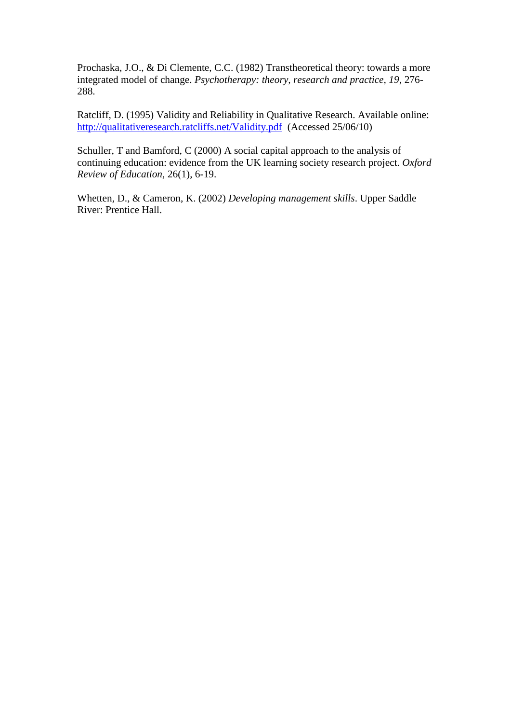Prochaska, J.O., & Di Clemente, C.C. (1982) Transtheoretical theory: towards a more integrated model of change. *Psychotherapy: theory, research and practice, 19*, 276- 288.

Ratcliff, D. (1995) Validity and Reliability in Qualitative Research. Available online: <http://qualitativeresearch.ratcliffs.net/Validity.pdf>(Accessed 25/06/10)

Schuller, T and Bamford, C (2000) A social capital approach to the analysis of continuing education: evidence from the UK learning society research project. *Oxford Review of Education*, 26(1), 6-19.

Whetten, D., & Cameron, K. (2002) *Developing management skills*. Upper Saddle River: Prentice Hall.